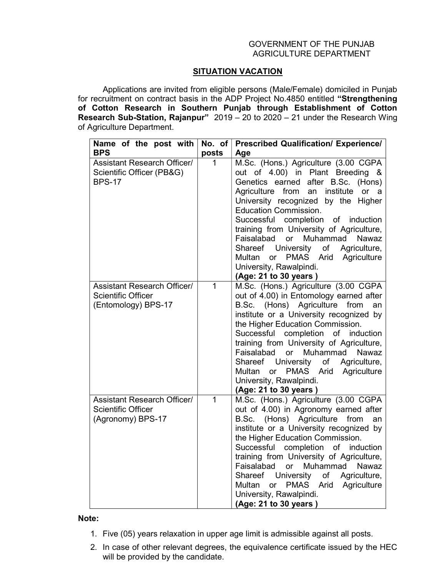## GOVERNMENT OF THE PUNJAB AGRICULTURE DEPARTMENT

## SITUATION VACATION

 Applications are invited from eligible persons (Male/Female) domiciled in Punjab for recruitment on contract basis in the ADP Project No.4850 entitled "Strengthening of Cotton Research in Southern Punjab through Establishment of Cotton Research Sub-Station, Rajanpur" 2019 – 20 to 2020 – 21 under the Research Wing of Agriculture Department.

| Name of the post with<br><b>BPS</b>                                                    | No. of<br>posts | <b>Prescribed Qualification/ Experience/</b><br>Age                                                                                                                                                                                                                                                                                                                                                                                                                                                                              |
|----------------------------------------------------------------------------------------|-----------------|----------------------------------------------------------------------------------------------------------------------------------------------------------------------------------------------------------------------------------------------------------------------------------------------------------------------------------------------------------------------------------------------------------------------------------------------------------------------------------------------------------------------------------|
| <b>Assistant Research Officer/</b><br>Scientific Officer (PB&G)<br><b>BPS-17</b>       | 1               | M.Sc. (Hons.) Agriculture (3.00 CGPA<br>out of 4.00) in Plant Breeding &<br>Genetics earned after B.Sc.<br>(Hons)<br>from<br>institute<br>Agriculture<br>an<br>or<br>a a<br>University recognized by the Higher<br><b>Education Commission.</b><br>completion of<br>Successful<br>induction<br>training from University of Agriculture,<br>Faisalabad<br>or<br>Muhammad<br><b>Nawaz</b><br>Shareef University<br>of<br>Agriculture,<br>PMAS Arid Agriculture<br>Multan<br>or<br>University, Rawalpindi.<br>(Age: 21 to 30 years) |
| <b>Assistant Research Officer/</b><br><b>Scientific Officer</b><br>(Entomology) BPS-17 | $\mathbf{1}$    | M.Sc. (Hons.) Agriculture (3.00 CGPA<br>out of 4.00) in Entomology earned after<br>B.Sc. (Hons) Agriculture<br>from<br>an<br>institute or a University recognized by<br>the Higher Education Commission.<br>Successful completion<br>of<br>induction<br>training from University of Agriculture,<br>Faisalabad<br>or<br>Muhammad<br><b>Nawaz</b><br>Shareef University<br>of Agriculture,<br>Multan<br>PMAS Arid Agriculture<br>or<br>University, Rawalpindi.<br>(Age: 21 to 30 years)                                           |
| <b>Assistant Research Officer/</b><br><b>Scientific Officer</b><br>(Agronomy) BPS-17   | $\mathbf{1}$    | M.Sc. (Hons.) Agriculture (3.00 CGPA<br>out of 4.00) in Agronomy earned after<br>B.Sc. (Hons) Agriculture from<br>an<br>institute or a University recognized by<br>the Higher Education Commission.<br>Successful<br>completion of<br>induction<br>training from University of Agriculture,<br>Faisalabad<br>or<br>Muhammad<br><b>Nawaz</b><br>Shareef University<br>of<br>Agriculture,<br>Multan<br>PMAS Arid<br>Agriculture<br>or<br>University, Rawalpindi.<br>(Age: 21 to 30 years)                                          |

## Note:

- 1. Five (05) years relaxation in upper age limit is admissible against all posts.
- 2. In case of other relevant degrees, the equivalence certificate issued by the HEC will be provided by the candidate.